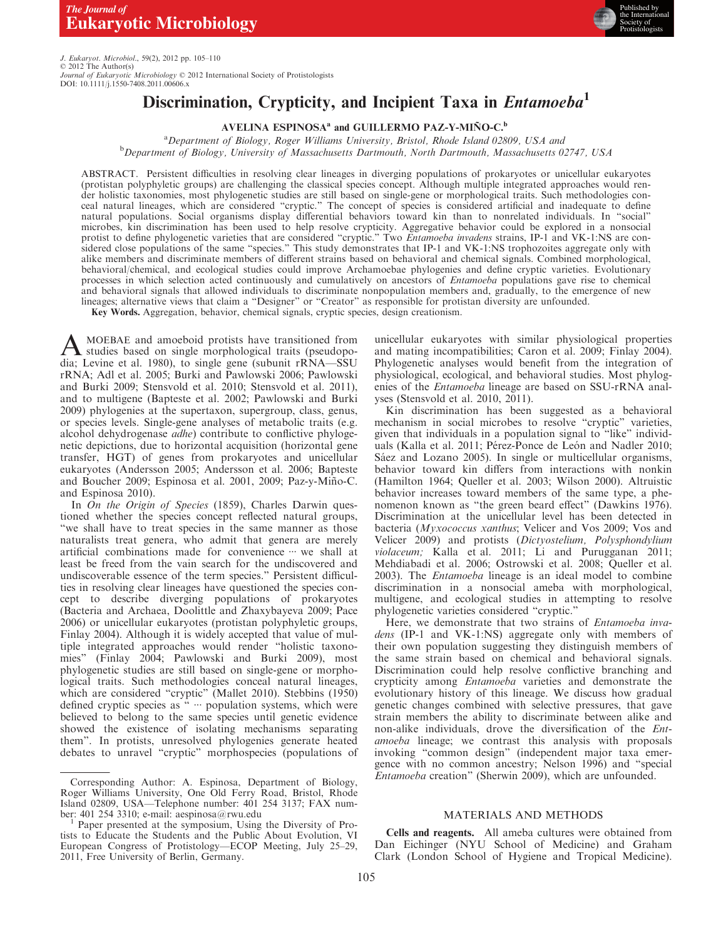

J. Eukaryot. Microbiol., 59(2), 2012 pp. 105–110 © 2012 The Author(s) Journal of Eukaryotic Microbiology © 2012 International Society of Protistologists DOI: 10.1111/j.1550-7408.2011.00606.x

# Discrimination, Crypticity, and Incipient Taxa in *Entamoeba*<sup>1</sup>

## AVELINA ESPINOSA<sup>a</sup> and GUILLERMO PAZ-Y-MIÑO-C.<sup>b</sup>

<sup>a</sup> Department of Biology, Roger Williams University, Bristol, Rhode Island 02809, USA and <sup>a</sup> Department of Biology, Roger Williams University, Bristol, Rhode Island 02809, USA and<br><sup>b</sup> Department of Biology, University of Massachusetts Dartmouth, North Dartmouth, Massachusetts 02747, USA

ABSTRACT. Persistent difficulties in resolving clear lineages in diverging populations of prokaryotes or unicellular eukaryotes (protistan polyphyletic groups) are challenging the classical species concept. Although multiple integrated approaches would render holistic taxonomies, most phylogenetic studies are still based on single-gene or morphological traits. Such methodologies conceal natural lineages, which are considered "cryptic." The concept of species is considered artificial and inadequate to define natural populations. Social organisms display differential behaviors toward kin than to nonrelated individuals. In "social" microbes, kin discrimination has been used to help resolve crypticity. Aggregative behavior could be explored in a nonsocial protist to define phylogenetic varieties that are considered "cryptic." Two Entamoeba invadens strains, IP-1 and VK-1:NS are considered close populations of the same "species." This study demonstrates that IP-1 and VK-1:NS trophozoites aggregate only with alike members and discriminate members of different strains based on behavioral and chemical signals. Combined morphological, behavioral/chemical, and ecological studies could improve Archamoebae phylogenies and define cryptic varieties. Evolutionary processes in which selection acted continuously and cumulatively on ancestors of Entamoeba populations gave rise to chemical and behavioral signals that allowed individuals to discriminate nonpopulation members and, gradually, to the emergence of new lineages; alternative views that claim a "Designer" or "Creator" as responsible for protistan diversity are unfounded.

Key Words. Aggregation, behavior, chemical signals, cryptic species, design creationism.

A MOEBAE and amoeboid protists have transitioned from<br>studies based on single morphological traits (pseudopo-<br>dise I spine at al. 1980), to single gave (whynit gRMA, SSU dia; Levine et al. 1980), to single gene (subunit rRNA—SSU rRNA; Adl et al. 2005; Burki and Pawlowski 2006; Pawlowski and Burki 2009; Stensvold et al. 2010; Stensvold et al. 2011), and to multigene (Bapteste et al. 2002; Pawlowski and Burki 2009) phylogenies at the supertaxon, supergroup, class, genus, or species levels. Single-gene analyses of metabolic traits (e.g. alcohol dehydrogenase adhe) contribute to conflictive phylogenetic depictions, due to horizontal acquisition (horizontal gene transfer, HGT) of genes from prokaryotes and unicellular eukaryotes (Andersson 2005; Andersson et al. 2006; Bapteste and Boucher 2009; Espinosa et al. 2001, 2009; Paz-y-Miño-C. and Espinosa 2010).

In *On the Origin of Species* (1859), Charles Darwin questioned whether the species concept reflected natural groups, "we shall have to treat species in the same manner as those naturalists treat genera, who admit that genera are merely artificial combinations made for convenience  $\cdots$  we shall at least be freed from the vain search for the undiscovered and undiscoverable essence of the term species." Persistent difficulties in resolving clear lineages have questioned the species concept to describe diverging populations of prokaryotes (Bacteria and Archaea, Doolittle and Zhaxybayeva 2009; Pace 2006) or unicellular eukaryotes (protistan polyphyletic groups, Finlay 2004). Although it is widely accepted that value of multiple integrated approaches would render "holistic taxonomies" (Finlay 2004; Pawlowski and Burki 2009), most phylogenetic studies are still based on single-gene or morphological traits. Such methodologies conceal natural lineages, which are considered "cryptic" (Mallet 2010). Stebbins (1950) defined cryptic species as " ··· population systems, which were believed to belong to the same species until genetic evidence showed the existence of isolating mechanisms separating them". In protists, unresolved phylogenies generate heated debates to unravel "cryptic" morphospecies (populations of

unicellular eukaryotes with similar physiological properties and mating incompatibilities; Caron et al. 2009; Finlay 2004). Phylogenetic analyses would benefit from the integration of physiological, ecological, and behavioral studies. Most phylogenies of the Entamoeba lineage are based on SSU-rRNA analyses (Stensvold et al. 2010, 2011).

Kin discrimination has been suggested as a behavioral mechanism in social microbes to resolve "cryptic" varieties, given that individuals in a population signal to "like" individuals (Kalla et al. 2011; Pérez-Ponce de León and Nadler 2010; Sáez and Lozano 2005). In single or multicellular organisms, behavior toward kin differs from interactions with nonkin (Hamilton 1964; Queller et al. 2003; Wilson 2000). Altruistic behavior increases toward members of the same type, a phenomenon known as "the green beard effect" (Dawkins 1976). Discrimination at the unicellular level has been detected in bacteria (Myxococcus xanthus; Velicer and Vos 2009; Vos and Velicer 2009) and protists (Dictyostelium, Polysphondylium violaceum; Kalla et al. 2011; Li and Purugganan 2011; Mehdiabadi et al. 2006; Ostrowski et al. 2008; Queller et al. 2003). The Entamoeba lineage is an ideal model to combine discrimination in a nonsocial ameba with morphological, multigene, and ecological studies in attempting to resolve phylogenetic varieties considered "cryptic."

Here, we demonstrate that two strains of Entamoeba invadens (IP-1 and VK-1:NS) aggregate only with members of their own population suggesting they distinguish members of the same strain based on chemical and behavioral signals. Discrimination could help resolve conflictive branching and crypticity among Entamoeba varieties and demonstrate the evolutionary history of this lineage. We discuss how gradual genetic changes combined with selective pressures, that gave strain members the ability to discriminate between alike and non-alike individuals, drove the diversification of the Entamoeba lineage; we contrast this analysis with proposals invoking "common design" (independent major taxa emergence with no common ancestry; Nelson 1996) and "special Entamoeba creation" (Sherwin 2009), which are unfounded.

## MATERIALS AND METHODS

Cells and reagents. All ameba cultures were obtained from Dan Eichinger (NYU School of Medicine) and Graham Clark (London School of Hygiene and Tropical Medicine).

Corresponding Author: A. Espinosa, Department of Biology, Roger Williams University, One Old Ferry Road, Bristol, Rhode Island 02809, USA—Telephone number: 401 254 3137; FAX number: 401 254 3310; e-mail: aespinosa@rwu.edu

Paper presented at the symposium, Using the Diversity of Protists to Educate the Students and the Public About Evolution, VI European Congress of Protistology—ECOP Meeting, July 25–29, 2011, Free University of Berlin, Germany.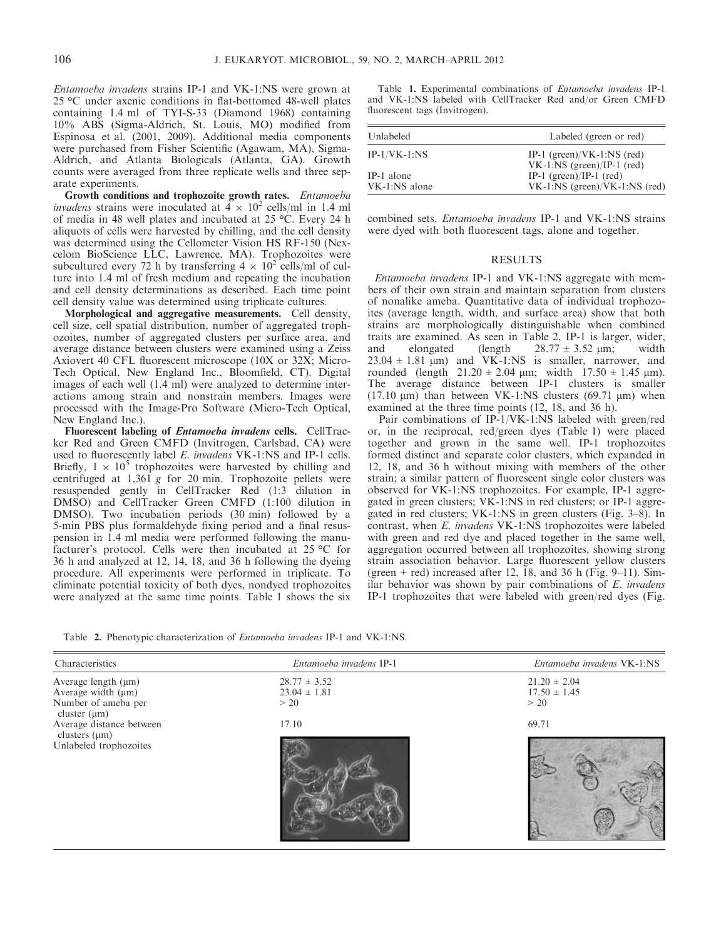Entamoeba invadens strains IP-1 and VK-1:NS were grown at 25 °C under axenic conditions in flat-bottomed 48-well plates containing 1.4 ml of TYI-S-33 (Diamond 1968) containing 10% ABS (Sigma-Aldrich, St. Louis, MO) modified from Espinosa et al. (2001, 2009). Additional media components were purchased from Fisher Scientific (Agawam, MA), Sigma-Aldrich, and Atlanta Biologicals (Atlanta, GA). Growth counts were averaged from three replicate wells and three separate experiments.

Growth conditions and trophozoite growth rates. Entamoeba *invadens* strains were inoculated at  $4 \times 10^2$  cells/ml in 1.4 ml of media in 48 well plates and incubated at 25 °C. Every 24 h aliquots of cells were harvested by chilling, and the cell density was determined using the Cellometer Vision HS RF-150 (Nexcelom BioScience LLC, Lawrence, MA). Trophozoites were subcultured every 72 h by transferring  $4 \times 10^2$  cells/ml of culture into 1.4 ml of fresh medium and repeating the incubation and cell density determinations as described. Each time point cell density value was determined using triplicate cultures.

Morphological and aggregative measurements. Cell density, cell size, cell spatial distribution, number of aggregated trophozoites, number of aggregated clusters per surface area, and average distance between clusters were examined using a Zeiss Axiovert 40 CFL fluorescent microscope (10X or 32X; Micro-Tech Optical, New England Inc., Bloomfield, CT). Digital images of each well (1.4 ml) were analyzed to determine interactions among strain and nonstrain members. Images were processed with the Image-Pro Software (Micro-Tech Optical, New England Inc.).

Fluorescent labeling of *Entamoeba invadens* cells. CellTracker Red and Green CMFD (Invitrogen, Carlsbad, CA) were used to fluorescently label E. invadens VK-1:NS and IP-1 cells. Briefly,  $1 \times 10^5$  trophozoites were harvested by chilling and centrifuged at 1,361 g for 20 min. Trophozoite pellets were resuspended gently in CellTracker Red (1:3 dilution in DMSO) and CellTracker Green CMFD (1:100 dilution in DMSO). Two incubation periods (30 min) followed by a 5-min PBS plus formaldehyde fixing period and a final resuspension in 1.4 ml media were performed following the manufacturer's protocol. Cells were then incubated at 25 °C for 36 h and analyzed at 12, 14, 18, and 36 h following the dyeing procedure. All experiments were performed in triplicate. To eliminate potential toxicity of both dyes, nondyed trophozoites were analyzed at the same time points. Table 1 shows the six

Table 1. Experimental combinations of Entamoeba invadens IP-1 and VK-1:NS labeled with CellTracker Red and/or Green CMFD fluorescent tags (Invitrogen).

| Unlabeled                   | Labeled (green or red)                                        |  |
|-----------------------------|---------------------------------------------------------------|--|
| IP-1/VK-1:NS                | IP-1 $(green)/VK-1:NS (red)$<br>$VK-1: NS (green)/IP-1 (red)$ |  |
| IP-1 alone<br>VK-1:NS alone | IP-1 (green)/IP-1 (red)<br>VK-1:NS (green)/VK-1:NS (red)      |  |

combined sets. Entamoeba invadens IP-1 and VK-1:NS strains were dyed with both fluorescent tags, alone and together.

#### RESULTS

Entamoeba invadens IP-1 and VK-1:NS aggregate with members of their own strain and maintain separation from clusters of nonalike ameba. Quantitative data of individual trophozoites (average length, width, and surface area) show that both strains are morphologically distinguishable when combined traits are examined. As seen in Table 2, IP-1 is larger, wider, and elongated (length  $28.77 \pm 3.52 \text{ }\mu\text{m}$ ; width  $23.04 \pm 1.81$  µm) and VK-1:NS is smaller, narrower, and rounded (length  $21.20 \pm 2.04$  µm; width  $17.50 \pm 1.45$  µm). The average distance between IP-1 clusters is smaller (17.10  $\mu$ m) than between VK-1:NS clusters (69.71  $\mu$ m) when examined at the three time points (12, 18, and 36 h).

Pair combinations of IP-1/VK-1:NS labeled with green/red or, in the reciprocal, red/green dyes (Table 1) were placed together and grown in the same well. IP-1 trophozoites formed distinct and separate color clusters, which expanded in 12, 18, and 36 h without mixing with members of the other strain; a similar pattern of fluorescent single color clusters was observed for VK-1:NS trophozoites. For example, IP-1 aggregated in green clusters; VK-1:NS in red clusters; or IP-1 aggregated in red clusters; VK-1:NS in green clusters (Fig. 3–8). In contrast, when E. invadens VK-1:NS trophozoites were labeled with green and red dye and placed together in the same well, aggregation occurred between all trophozoites, showing strong strain association behavior. Large fluorescent yellow clusters (green  $+$  red) increased after 12, 18, and 36 h (Fig. 9–11). Similar behavior was shown by pair combinations of E. invadens IP-1 trophozoites that were labeled with green/red dyes (Fig.

Table 2. Phenotypic characterization of Entamoeba invadens IP-1 and VK-1:NS.

| Characteristics                                | Entamoeba invadens IP-1 | Entamoeba invadens VK-1:NS |
|------------------------------------------------|-------------------------|----------------------------|
| Average length $(\mu m)$                       | $28.77 \pm 3.52$        | $21.20 \pm 2.04$           |
| Average width $(\mu m)$                        | $23.04 \pm 1.81$        | $17.50 \pm 1.45$           |
| Number of ameba per<br>cluster $(\mu m)$       | > 20                    | > 20                       |
| Average distance between<br>clusters $(\mu m)$ | 17.10                   | 69.71                      |
| Unlabeled trophozoites                         |                         |                            |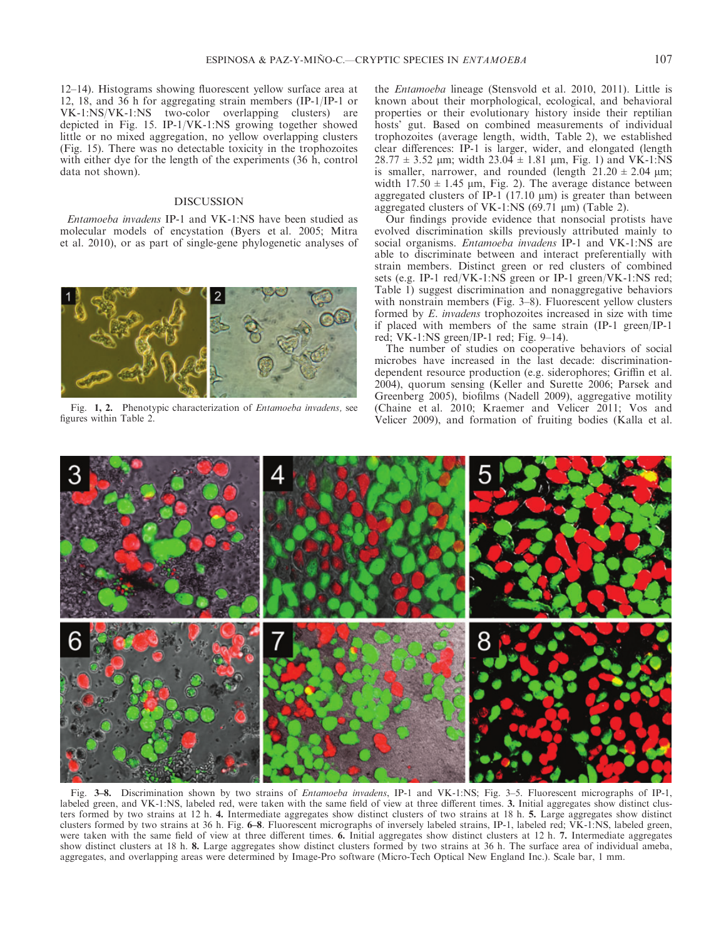12–14). Histograms showing fluorescent yellow surface area at 12, 18, and 36 h for aggregating strain members (IP-1/IP-1 or VK-1:NS/VK-1:NS two-color overlapping clusters) are depicted in Fig. 15. IP-1/VK-1:NS growing together showed little or no mixed aggregation, no yellow overlapping clusters (Fig. 15). There was no detectable toxicity in the trophozoites with either dye for the length of the experiments (36 h, control data not shown).

## DISCUSSION

Entamoeba invadens IP-1 and VK-1:NS have been studied as molecular models of encystation (Byers et al. 2005; Mitra et al. 2010), or as part of single-gene phylogenetic analyses of



Fig. 1, 2. Phenotypic characterization of Entamoeba invadens, see figures within Table 2.

the Entamoeba lineage (Stensvold et al. 2010, 2011). Little is known about their morphological, ecological, and behavioral properties or their evolutionary history inside their reptilian hosts' gut. Based on combined measurements of individual trophozoites (average length, width, Table 2), we established clear differences: IP-1 is larger, wider, and elongated (length  $28.77 \pm 3.52$  µm; width  $23.04 \pm 1.81$  µm, Fig. 1) and VK-1:NS is smaller, narrower, and rounded (length  $21.20 \pm 2.04$  µm; width  $17.50 \pm 1.45$  µm, Fig. 2). The average distance between aggregated clusters of IP-1 (17.10  $\mu$ m) is greater than between aggregated clusters of VK-1:NS (69.71  $\mu$ m) (Table 2).

Our findings provide evidence that nonsocial protists have evolved discrimination skills previously attributed mainly to social organisms. *Entamoeba invadens* IP-1 and VK-1:NS are able to discriminate between and interact preferentially with strain members. Distinct green or red clusters of combined sets (e.g. IP-1 red/VK-1:NS green or IP-1 green/VK-1:NS red; Table 1) suggest discrimination and nonaggregative behaviors with nonstrain members (Fig. 3–8). Fluorescent yellow clusters formed by E. invadens trophozoites increased in size with time if placed with members of the same strain (IP-1 green/IP-1 red; VK-1:NS green/IP-1 red; Fig. 9–14).

The number of studies on cooperative behaviors of social microbes have increased in the last decade: discriminationdependent resource production (e.g. siderophores; Griffin et al. 2004), quorum sensing (Keller and Surette 2006; Parsek and Greenberg 2005), biofilms (Nadell 2009), aggregative motility (Chaine et al. 2010; Kraemer and Velicer 2011; Vos and Velicer 2009), and formation of fruiting bodies (Kalla et al.



Fig. 3–8. Discrimination shown by two strains of Entamoeba invadens, IP-1 and VK-1:NS; Fig. 3–5. Fluorescent micrographs of IP-1, labeled green, and VK-1:NS, labeled red, were taken with the same field of view at three different times. 3. Initial aggregates show distinct clusters formed by two strains at 12 h. 4. Intermediate aggregates show distinct clusters of two strains at 18 h. 5. Large aggregates show distinct clusters formed by two strains at 36 h. Fig. 6–8. Fluorescent micrographs of inversely labeled strains, IP-1, labeled red; VK-1:NS, labeled green, were taken with the same field of view at three different times. **6.** Initial aggregates show distinct clusters at 12 h. 7. Intermediate aggregates show distinct clusters at 18 h. 8. Large aggregates show distinct clusters formed by two strains at 36 h. The surface area of individual ameba, aggregates, and overlapping areas were determined by Image-Pro software (Micro-Tech Optical New England Inc.). Scale bar, 1 mm.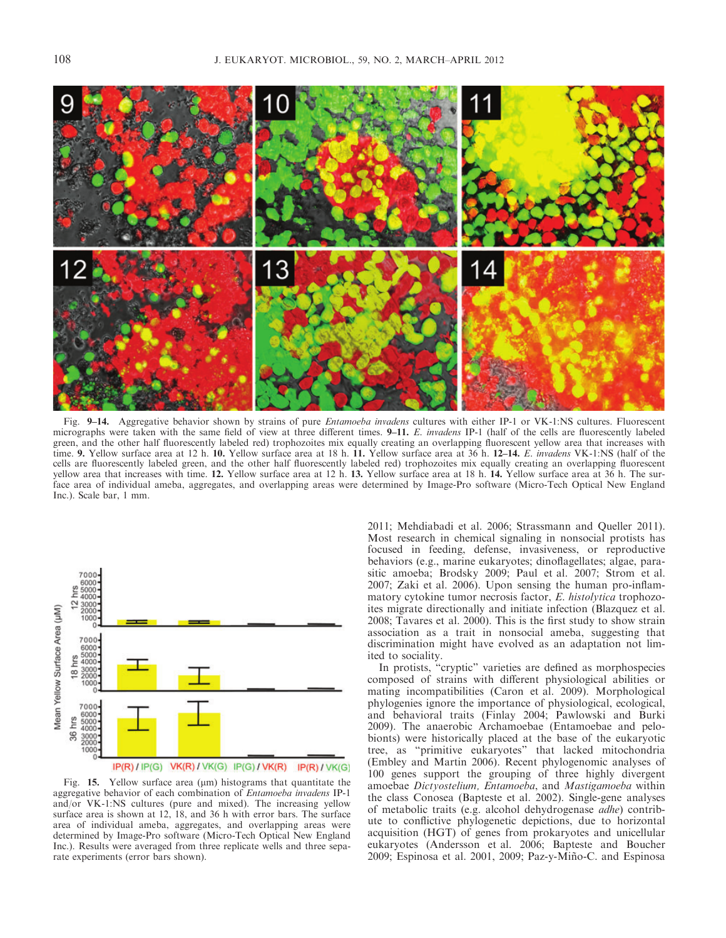

Fig. 9–14. Aggregative behavior shown by strains of pure *Entamoeba invadens* cultures with either IP-1 or VK-1:NS cultures. Fluorescent micrographs were taken with the same field of view at three different times. 9–11. E. *invadens* IP-1 (half of the cells are fluorescently labeled green, and the other half fluorescently labeled red) trophozoites mix equally creating an overlapping fluorescent yellow area that increases with time. 9. Yellow surface area at 12 h. 10. Yellow surface area at 18 h. 11. Yellow surface area at 36 h. 12–14. E. *invadens* VK-1:NS (half of the cells are fluorescently labeled green, and the other half fluorescently labeled red) trophozoites mix equally creating an overlapping fluorescent yellow area that increases with time. 12. Yellow surface area at 12 h. 13. Yellow surface area at 18 h. 14. Yellow surface area at 36 h. The surface area of individual ameba, aggregates, and overlapping areas were determined by Image-Pro software (Micro-Tech Optical New England Inc.). Scale bar, 1 mm.



Fig. 15. Yellow surface area  $(\mu m)$  histograms that quantitate the aggregative behavior of each combination of Entamoeba invadens IP-1 and/or VK-1:NS cultures (pure and mixed). The increasing yellow surface area is shown at 12, 18, and 36 h with error bars. The surface area of individual ameba, aggregates, and overlapping areas were determined by Image-Pro software (Micro-Tech Optical New England Inc.). Results were averaged from three replicate wells and three separate experiments (error bars shown).

2011; Mehdiabadi et al. 2006; Strassmann and Queller 2011). Most research in chemical signaling in nonsocial protists has focused in feeding, defense, invasiveness, or reproductive behaviors (e.g., marine eukaryotes; dinoflagellates; algae, parasitic amoeba; Brodsky 2009; Paul et al. 2007; Strom et al. 2007; Zaki et al. 2006). Upon sensing the human pro-inflammatory cytokine tumor necrosis factor, E. histolytica trophozoites migrate directionally and initiate infection (Blazquez et al. 2008; Tavares et al. 2000). This is the first study to show strain association as a trait in nonsocial ameba, suggesting that discrimination might have evolved as an adaptation not limited to sociality.

In protists, "cryptic" varieties are defined as morphospecies composed of strains with different physiological abilities or mating incompatibilities (Caron et al. 2009). Morphological phylogenies ignore the importance of physiological, ecological, and behavioral traits (Finlay 2004; Pawlowski and Burki 2009). The anaerobic Archamoebae (Entamoebae and pelobionts) were historically placed at the base of the eukaryotic tree, as "primitive eukaryotes" that lacked mitochondria (Embley and Martin 2006). Recent phylogenomic analyses of 100 genes support the grouping of three highly divergent amoebae Dictyostelium, Entamoeba, and Mastigamoeba within the class Conosea (Bapteste et al. 2002). Single-gene analyses of metabolic traits (e.g. alcohol dehydrogenase adhe) contribute to conflictive phylogenetic depictions, due to horizontal acquisition (HGT) of genes from prokaryotes and unicellular eukaryotes (Andersson et al. 2006; Bapteste and Boucher 2009; Espinosa et al. 2001, 2009; Paz-y-Miño-C. and Espinosa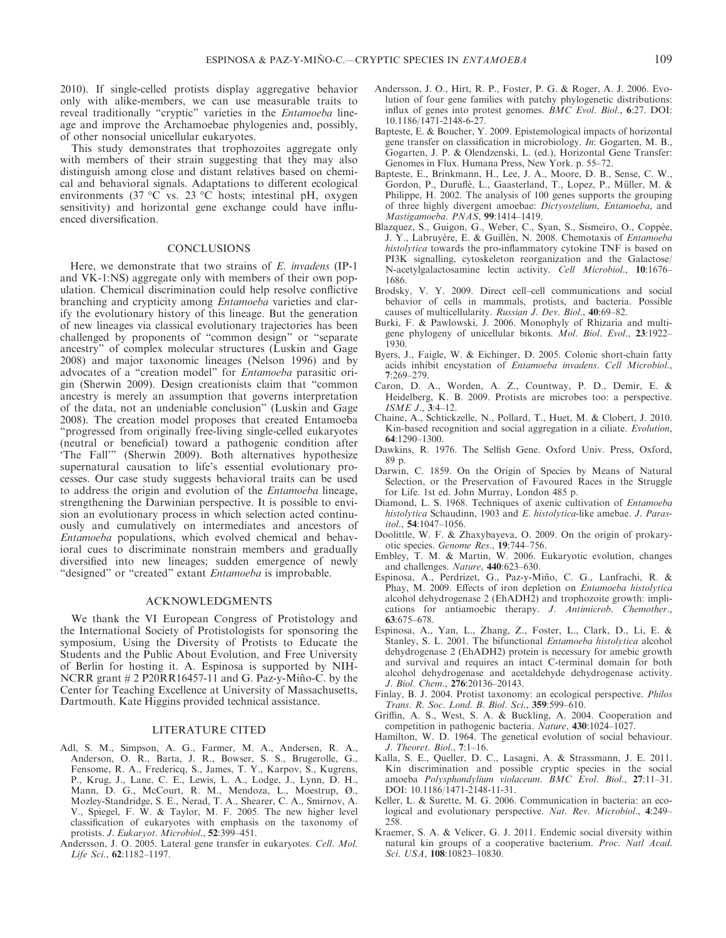2010). If single-celled protists display aggregative behavior only with alike-members, we can use measurable traits to reveal traditionally "cryptic" varieties in the Entamoeba lineage and improve the Archamoebae phylogenies and, possibly, of other nonsocial unicellular eukaryotes.

This study demonstrates that trophozoites aggregate only with members of their strain suggesting that they may also distinguish among close and distant relatives based on chemical and behavioral signals. Adaptations to different ecological environments (37 °C vs. 23 °C hosts; intestinal pH, oxygen sensitivity) and horizontal gene exchange could have influenced diversification.

#### CONCLUSIONS

Here, we demonstrate that two strains of E. invadens (IP-1 and VK-1:NS) aggregate only with members of their own population. Chemical discrimination could help resolve conflictive branching and crypticity among Entamoeba varieties and clarify the evolutionary history of this lineage. But the generation of new lineages via classical evolutionary trajectories has been challenged by proponents of "common design" or "separate ancestry" of complex molecular structures (Luskin and Gage 2008) and major taxonomic lineages (Nelson 1996) and by advocates of a "creation model" for Entamoeba parasitic origin (Sherwin 2009). Design creationists claim that "common ancestry is merely an assumption that governs interpretation of the data, not an undeniable conclusion" (Luskin and Gage 2008). The creation model proposes that created Entamoeba "progressed from originally free-living single-celled eukaryotes (neutral or beneficial) toward a pathogenic condition after 'The Fall'" (Sherwin 2009). Both alternatives hypothesize supernatural causation to life's essential evolutionary processes. Our case study suggests behavioral traits can be used to address the origin and evolution of the Entamoeba lineage, strengthening the Darwinian perspective. It is possible to envision an evolutionary process in which selection acted continuously and cumulatively on intermediates and ancestors of Entamoeba populations, which evolved chemical and behavioral cues to discriminate nonstrain members and gradually diversified into new lineages; sudden emergence of newly "designed" or "created" extant *Entamoeba* is improbable.

### ACKNOWLEDGMENTS

We thank the VI European Congress of Protistology and the International Society of Protistologists for sponsoring the symposium, Using the Diversity of Protists to Educate the Students and the Public About Evolution, and Free University of Berlin for hosting it. A. Espinosa is supported by NIH-NCRR grant  $# 2$  P20RR16457-11 and G. Paz-y-Miño-C. by the Center for Teaching Excellence at University of Massachusetts, Dartmouth. Kate Higgins provided technical assistance.

#### LITERATURE CITED

- Adl, S. M., Simpson, A. G., Farmer, M. A., Andersen, R. A., Anderson, O. R., Barta, J. R., Bowser, S. S., Brugerolle, G., Fensome, R. A., Fredericq, S., James, T. Y., Karpov, S., Kugrens, P., Krug, J., Lane, C. E., Lewis, L. A., Lodge, J., Lynn, D. H., Mann, D. G., McCourt, R. M., Mendoza, L., Moestrup, Ø., Mozley-Standridge, S. E., Nerad, T. A., Shearer, C. A., Smirnov, A. V., Spiegel, F. W. & Taylor, M. F. 2005. The new higher level classification of eukaryotes with emphasis on the taxonomy of protists. J. Eukaryot. Microbiol., 52:399–451.
- Andersson, J. O. 2005. Lateral gene transfer in eukaryotes. Cell. Mol. Life Sci., 62:1182–1197.
- Andersson, J. O., Hirt, R. P., Foster, P. G. & Roger, A. J. 2006. Evolution of four gene families with patchy phylogenetic distributions: influx of genes into protest genomes. BMC Evol. Biol., 6:27. DOI: 10.1186/1471-2148-6-27.
- Bapteste, E. & Boucher, Y. 2009. Epistemological impacts of horizontal gene transfer on classification in microbiology. In: Gogarten, M. B., Gogarten, J. P. & Olendzenski, L. (ed.), Horizontal Gene Transfer: Genomes in Flux. Humana Press, New York. p. 55–72.
- Bapteste, E., Brinkmann, H., Lee, J. A., Moore, D. B., Sense, C. W., Gordon, P., Duruflé, L., Gaasterland, T., Lopez, P., Müller, M. & Philippe, H. 2002. The analysis of 100 genes supports the grouping of three highly divergent amoebae: Dictyostelium, Entamoeba, and Mastigamoeba. PNAS, 99:1414–1419.
- Blazquez, S., Guigon, G., Weber, C., Syan, S., Sismeiro, O., Coppée, J. Y., Labruyère, E. & Guillén, N. 2008. Chemotaxis of *Entamoeba* histolytica towards the pro-inflammatory cytokine TNF is based on PI3K signalling, cytoskeleton reorganization and the Galactose/ N-acetylgalactosamine lectin activity. Cell Microbiol., 10:1676– 1686.
- Brodsky, V. Y. 2009. Direct cell–cell communications and social behavior of cells in mammals, protists, and bacteria. Possible causes of multicellularity. Russian J. Dev. Biol., 40:69–82.
- Burki, F. & Pawlowski, J. 2006. Monophyly of Rhizaria and multigene phylogeny of unicellular bikonts. Mol. Biol. Evol., 23:1922– 1930.
- Byers, J., Faigle, W. & Eichinger, D. 2005. Colonic short-chain fatty acids inhibit encystation of Entamoeba invadens. Cell Microbiol., 7:269–279.
- Caron, D. A., Worden, A. Z., Countway, P. D., Demir, E. & Heidelberg, K. B. 2009. Protists are microbes too: a perspective. ISME J., 3:4–12.
- Chaine, A., Schtickzelle, N., Pollard, T., Huet, M. & Clobert, J. 2010. Kin-based recognition and social aggregation in a ciliate. Evolution, 64:1290–1300.
- Dawkins, R. 1976. The Selfish Gene. Oxford Univ. Press, Oxford, 89 p.
- Darwin, C. 1859. On the Origin of Species by Means of Natural Selection, or the Preservation of Favoured Races in the Struggle for Life. 1st ed. John Murray, London 485 p.
- Diamond, L. S. 1968. Techniques of axenic cultivation of Entamoeba histolytica Schaudinn, 1903 and E. histolytica-like amebae. J. Parasitol., 54:1047–1056.
- Doolittle, W. F. & Zhaxybayeva, O. 2009. On the origin of prokaryotic species. Genome Res., 19:744–756.
- Embley, T. M. & Martin, W. 2006. Eukaryotic evolution, changes and challenges. Nature, 440:623–630.
- Espinosa, A., Perdrizet, G., Paz-y-Miño, C. G., Lanfrachi, R. & Phay, M. 2009. Effects of iron depletion on Entamoeba histolytica alcohol dehydrogenase 2 (EhADH2) and trophozoite growth: implications for antiamoebic therapy. J. Antimicrob. Chemother., 63:675–678.
- Espinosa, A., Yan, L., Zhang, Z., Foster, L., Clark, D., Li, E. & Stanley, S. L. 2001. The bifunctional Entamoeba histolytica alcohol dehydrogenase 2 (EhADH2) protein is necessary for amebic growth and survival and requires an intact C-terminal domain for both alcohol dehydrogenase and acetaldehyde dehydrogenase activity. J. Biol. Chem., 276:20136–20143.
- Finlay, B. J. 2004. Protist taxonomy: an ecological perspective. Philos Trans. R. Soc. Lond. B. Biol. Sci., 359:599–610.
- Griffin, A. S., West, S. A. & Buckling, A. 2004. Cooperation and competition in pathogenic bacteria. Nature, 430:1024–1027.
- Hamilton, W. D. 1964. The genetical evolution of social behaviour. J. Theoret. Biol., 7:1–16.
- Kalla, S. E., Queller, D. C., Lasagni, A. & Strassmann, J. E. 2011. Kin discrimination and possible cryptic species in the social amoeba Polysphondylium violaceum. BMC Evol. Biol., 27:11–31. DOI: 10.1186/1471-2148-11-31.
- Keller, L. & Surette, M. G. 2006. Communication in bacteria: an ecological and evolutionary perspective. Nat. Rev. Microbiol., 4:249– 258.
- Kraemer, S. A. & Velicer, G. J. 2011. Endemic social diversity within natural kin groups of a cooperative bacterium. Proc. Natl Acad. Sci. USA, 108:10823–10830.